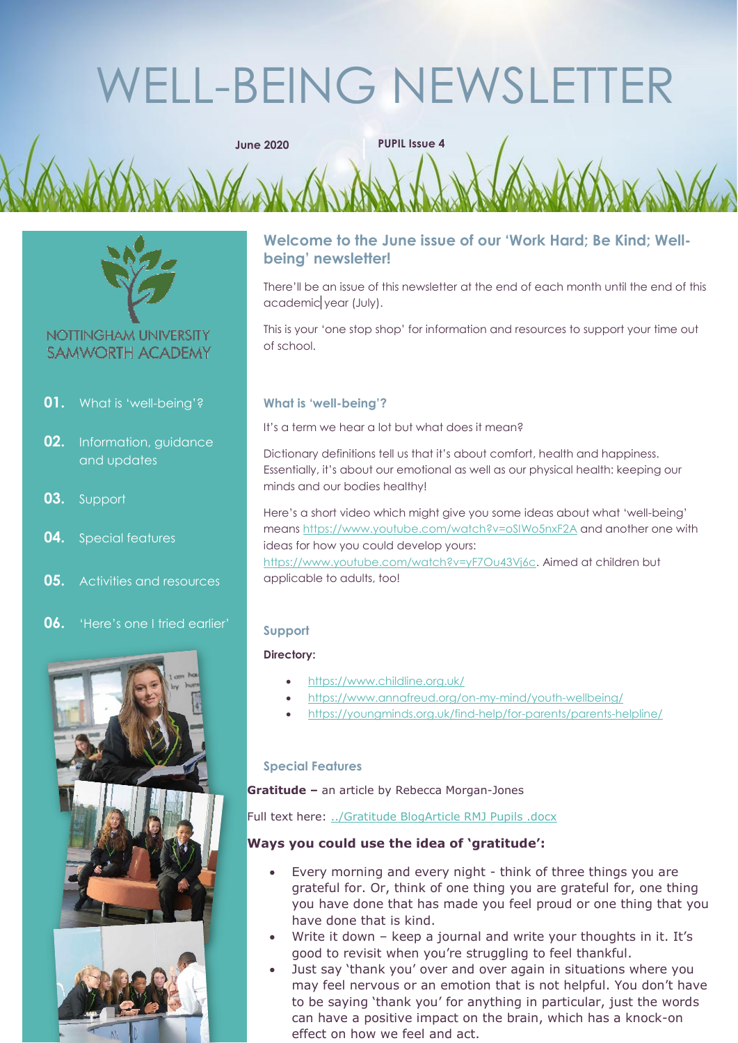# WELL-BEING NEWSLETTER

**June 2020 PUPIL Issue 4**



### NOTTINGHAM UNIVERSITY **SAMWORTH ACADEMY**

- **01.** What is 'well-being'?
- **02.** Information, guidance and updates
- **03.** Support
- **04.** Special features
- **05.** Activities and resources
- **06.** 'Here's one I tried earlier'



#### **Welcome to the June issue of our 'Work Hard; Be Kind; Wellbeing' newsletter!**

There'll be an issue of this newsletter at the end of each month until the end of this academic year (July).

This is your 'one stop shop' for information and resources to support your time out of school.

#### **What is 'well-being'?**

It's a term we hear a lot but what does it mean?

Dictionary definitions tell us that it's about comfort, health and happiness. Essentially, it's about our emotional as well as our physical health: keeping our minds and our bodies healthy!

Here's a short video which might give you some ideas about what 'well-being' means<https://www.youtube.com/watch?v=oSIWo5nxF2A> and another one with ideas for how you could develop yours:

[https://www.youtube.com/watch?v=yF7Ou43Vj6c.](https://www.youtube.com/watch?v=yF7Ou43Vj6c) Aimed at children but applicable to adults, too!

#### **Support**

#### **Directory:**

- <https://www.childline.org.uk/>
- <https://www.annafreud.org/on-my-mind/youth-wellbeing/>
- <https://youngminds.org.uk/find-help/for-parents/parents-helpline/>

#### **Special Features**

**Gratitude –** an article by Rebecca Morgan-Jones

Full text here: [../Gratitude BlogArticle RMJ Pupils .docx](Gratitude%20BlogArticle%20RMJ%20Pupils%20.docx)

#### **Ways you could use the idea of 'gratitude':**

- Every morning and every night think of three things you are grateful for. Or, think of one thing you are grateful for, one thing you have done that has made you feel proud or one thing that you have done that is kind.
- Write it down keep a journal and write your thoughts in it. It's good to revisit when you're struggling to feel thankful.
- Just say 'thank you' over and over again in situations where you may feel nervous or an emotion that is not helpful. You don't have to be saying 'thank you' for anything in particular, just the words can have a positive impact on the brain, which has a knock-on effect on how we feel and act.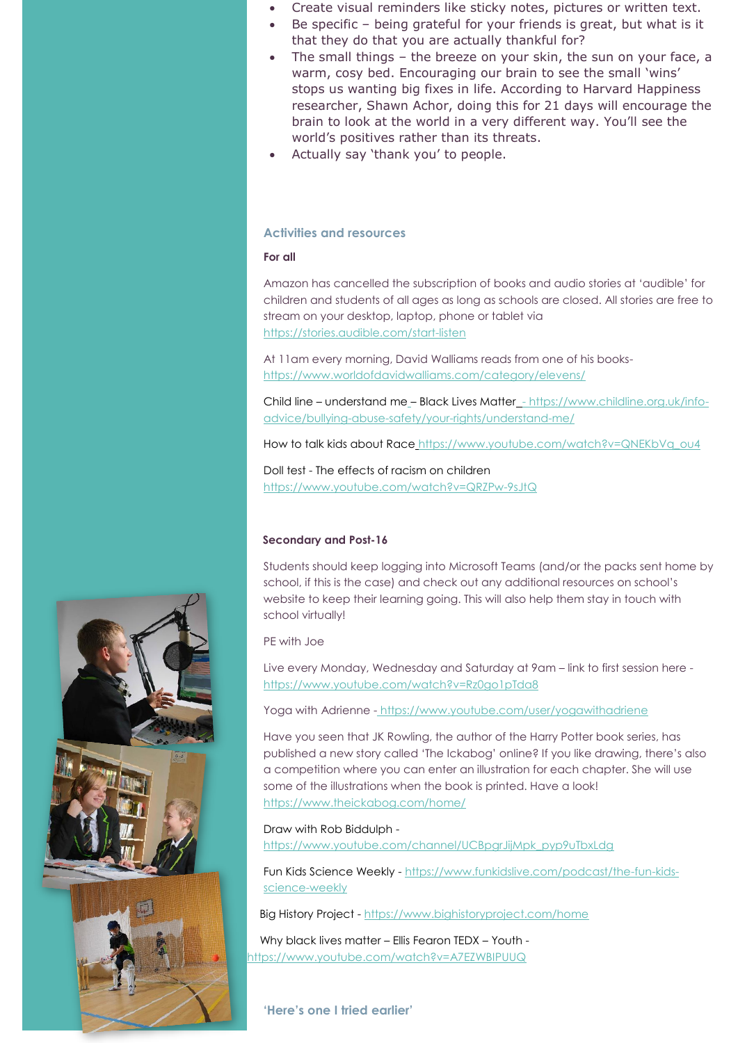- Create visual reminders like sticky notes, pictures or written text.
- Be specific being grateful for your friends is great, but what is it that they do that you are actually thankful for?
- The small things the breeze on your skin, the sun on your face, a warm, cosy bed. Encouraging our brain to see the small 'wins' stops us wanting big fixes in life. According to Harvard Happiness researcher, Shawn Achor, doing this for 21 days will encourage the brain to look at the world in a very different way. You'll see the world's positives rather than its threats.
- Actually say 'thank you' to people.

#### **Activities and resources**

#### **For all**

Amazon has cancelled the subscription of books and audio stories at 'audible' for children and students of all ages as long as schools are closed. All stories are free to stream on your desktop, laptop, phone or tablet via <https://stories.audible.com/start-listen>

At 11am every morning, David Walliams reads from one of his books<https://www.worldofdavidwalliams.com/category/elevens/>

Child line – understand me – Black Lives Matter - [https://www.childline.org.uk/info](mailto:https://www.childline.org.uk/info-advice/bullying-abuse-safety/your-rights/understand-me/)[advice/bullying-abuse-safety/your-rights/understand-me/](mailto:https://www.childline.org.uk/info-advice/bullying-abuse-safety/your-rights/understand-me/)

How to talk kids about Race https://www.youtube.com/watch?v=QNEKbVq\_ou4

Doll test - The effects of racism on children <https://www.youtube.com/watch?v=QRZPw-9sJtQ>

#### **Secondary and Post-16**

Students should keep logging into Microsoft Teams (and/or the packs sent home by school, if this is the case) and check out any additional resources on school's website to keep their learning going. This will also help them stay in touch with school virtually!

PE with Joe

Live every Monday, Wednesday and Saturday at 9am – link to first session here <https://www.youtube.com/watch?v=Rz0go1pTda8>

Yoga with Adrienne - <https://www.youtube.com/user/yogawithadriene>

Have you seen that JK Rowling, the author of the Harry Potter book series, has published a new story called 'The Ickabog' online? If you like drawing, there's also a competition where you can enter an illustration for each chapter. She will use some of the illustrations when the book is printed. Have a look! [https://www.theickabog.com/home/](mailto:https://www.theickabog.com/home/)

Draw with Rob Biddulph [https://www.youtube.com/channel/UCBpgrJijMpk\\_pyp9uTbxLdg](mailto:https://www.youtube.com/channel/UCBpgrJijMpk_pyp9uTbxLdg)

Fun Kids Science Weekly - [https://www.funkidslive.com/podcast/the-fun-kids](mailto:https://www.funkidslive.com/podcast/the-fun-kids-science-weekly)[science-weekly](mailto:https://www.funkidslive.com/podcast/the-fun-kids-science-weekly)

Big History Project - [https://www.bighistoryproject.com/home](mailto:-%20https://www.bighistoryproject.com/home)

 Why black lives matter – Ellis Fearon TEDX – Youth [https://www.youtube.com/watch?v=A7EZWBIPUUQ](mailto:https://www.youtube.com/watch?v=A7EZWBIPUUQ)

**'Here's one I tried earlier'**